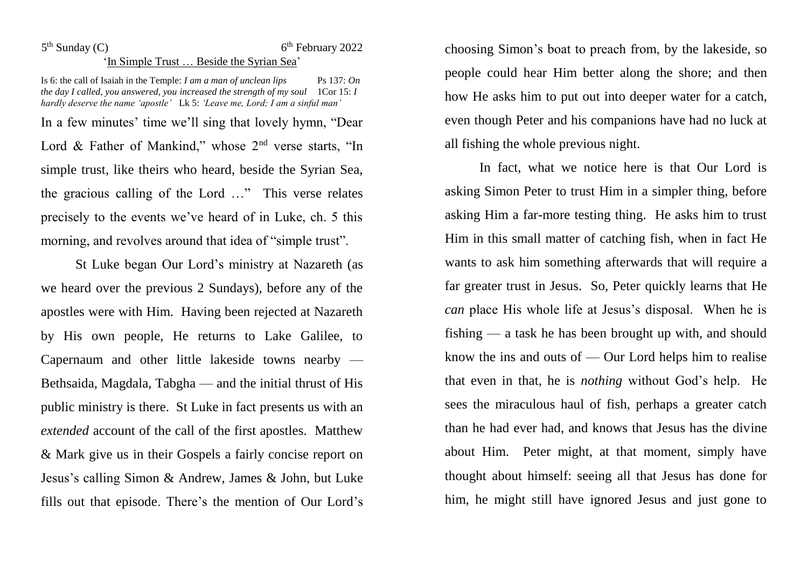## $5<sup>th</sup>$  Sunday (C) 6 6<sup>th</sup> February 2022 'In Simple Trust … Beside the Syrian Sea'

Is 6: the call of Isaiah in the Temple: *I am a man of unclean lips* Ps 137: On *the day I called, you answered, you increased the strength of my soul* 1Cor 15: *I hardly deserve the name 'apostle'* Lk 5: *'Leave me, Lord; I am a sinful man'* In a few minutes' time we'll sing that lovely hymn, "Dear Lord & Father of Mankind," whose  $2<sup>nd</sup>$  verse starts, "In simple trust, like theirs who heard, beside the Syrian Sea, the gracious calling of the Lord …" This verse relates precisely to the events we've heard of in Luke, ch. 5 this morning, and revolves around that idea of "simple trust".

St Luke began Our Lord's ministry at Nazareth (as we heard over the previous 2 Sundays), before any of the apostles were with Him. Having been rejected at Nazareth by His own people, He returns to Lake Galilee, to Capernaum and other little lakeside towns nearby — Bethsaida, Magdala, Tabgha — and the initial thrust of His public ministry is there. St Luke in fact presents us with an *extended* account of the call of the first apostles. Matthew & Mark give us in their Gospels a fairly concise report on Jesus's calling Simon & Andrew, James & John, but Luke fills out that episode. There's the mention of Our Lord's choosing Simon's boat to preach from, by the lakeside, so people could hear Him better along the shore; and then how He asks him to put out into deeper water for a catch, even though Peter and his companions have had no luck at all fishing the whole previous night.

In fact, what we notice here is that Our Lord is asking Simon Peter to trust Him in a simpler thing, before asking Him a far-more testing thing. He asks him to trust Him in this small matter of catching fish, when in fact He wants to ask him something afterwards that will require a far greater trust in Jesus. So, Peter quickly learns that He *can* place His whole life at Jesus's disposal. When he is fishing — a task he has been brought up with, and should know the ins and outs of — Our Lord helps him to realise that even in that, he is *nothing* without God's help. He sees the miraculous haul of fish, perhaps a greater catch than he had ever had, and knows that Jesus has the divine about Him. Peter might, at that moment, simply have thought about himself: seeing all that Jesus has done for him, he might still have ignored Jesus and just gone to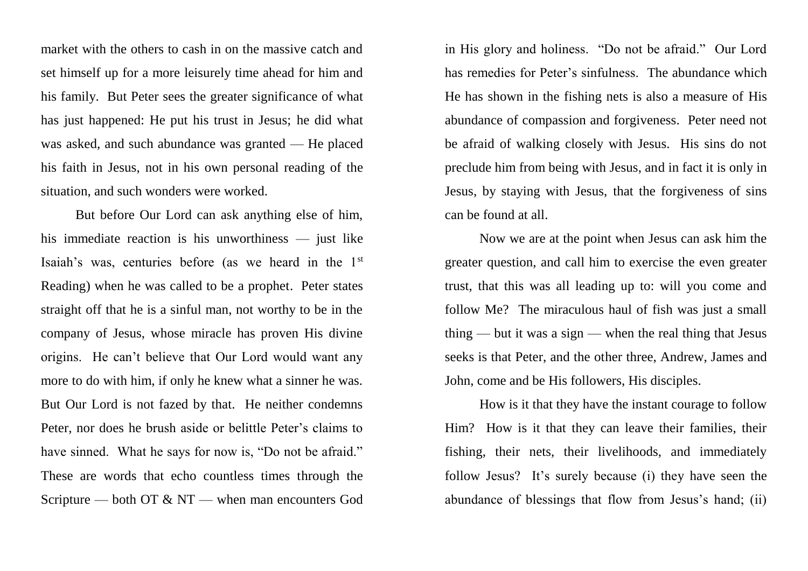market with the others to cash in on the massive catch and set himself up for a more leisurely time ahead for him and his family. But Peter sees the greater significance of what has just happened: He put his trust in Jesus; he did what was asked, and such abundance was granted — He placed his faith in Jesus, not in his own personal reading of the situation, and such wonders were worked.

But before Our Lord can ask anything else of him, his immediate reaction is his unworthiness — just like Isaiah's was, centuries before (as we heard in the 1st Reading) when he was called to be a prophet. Peter states straight off that he is a sinful man, not worthy to be in the company of Jesus, whose miracle has proven His divine origins. He can't believe that Our Lord would want any more to do with him, if only he knew what a sinner he was. But Our Lord is not fazed by that. He neither condemns Peter, nor does he brush aside or belittle Peter's claims to have sinned. What he says for now is, "Do not be afraid." These are words that echo countless times through the Scripture — both OT & NT — when man encounters God in His glory and holiness. "Do not be afraid." Our Lord has remedies for Peter's sinfulness. The abundance which He has shown in the fishing nets is also a measure of His abundance of compassion and forgiveness. Peter need not be afraid of walking closely with Jesus. His sins do not preclude him from being with Jesus, and in fact it is only in Jesus, by staying with Jesus, that the forgiveness of sins can be found at all.

Now we are at the point when Jesus can ask him the greater question, and call him to exercise the even greater trust, that this was all leading up to: will you come and follow Me? The miraculous haul of fish was just a small thing — but it was a sign — when the real thing that Jesus seeks is that Peter, and the other three, Andrew, James and John, come and be His followers, His disciples.

How is it that they have the instant courage to follow Him? How is it that they can leave their families, their fishing, their nets, their livelihoods, and immediately follow Jesus? It's surely because (i) they have seen the abundance of blessings that flow from Jesus's hand; (ii)